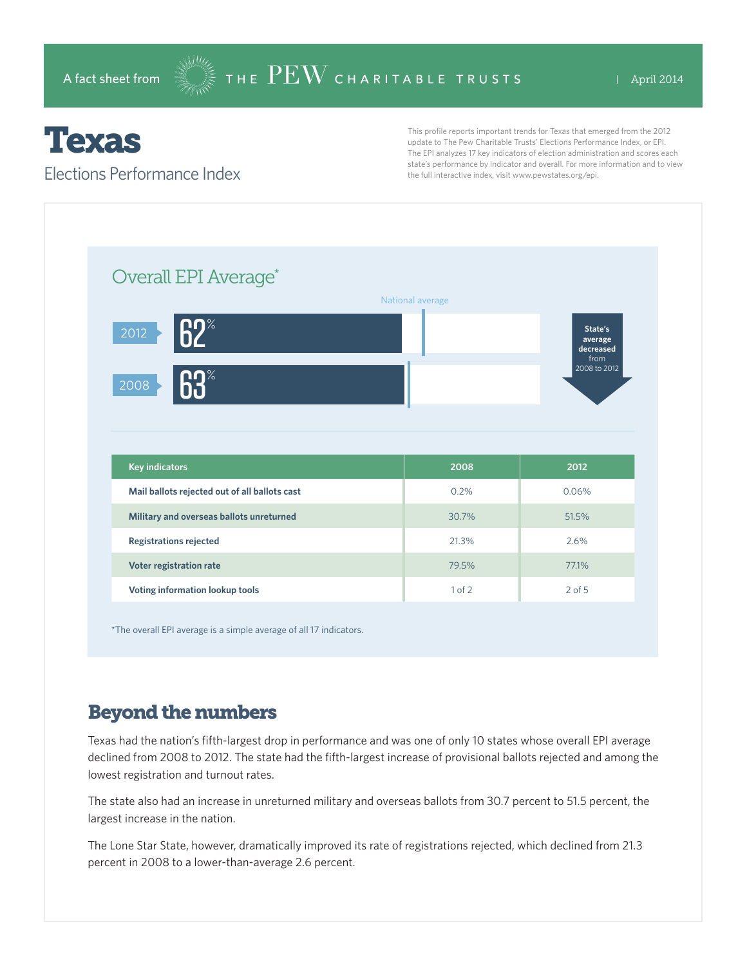# Texas

#### Elections Performance Index

This profile reports important trends for Texas that emerged from the 2012 update to The Pew Charitable Trusts' Elections Performance Index, or EPI. The EPI analyzes 17 key indicators of election administration and scores each state's performance by indicator and overall. For more information and to view the full interactive index, visit www.pewstates.org/epi.



\*The overall EPI average is a simple average of all 17 indicators.

### Beyond the numbers

Texas had the nation's fifth-largest drop in performance and was one of only 10 states whose overall EPI average declined from 2008 to 2012. The state had the fifth-largest increase of provisional ballots rejected and among the lowest registration and turnout rates.

The state also had an increase in unreturned military and overseas ballots from 30.7 percent to 51.5 percent, the largest increase in the nation.

The Lone Star State, however, dramatically improved its rate of registrations rejected, which declined from 21.3 percent in 2008 to a lower-than-average 2.6 percent.